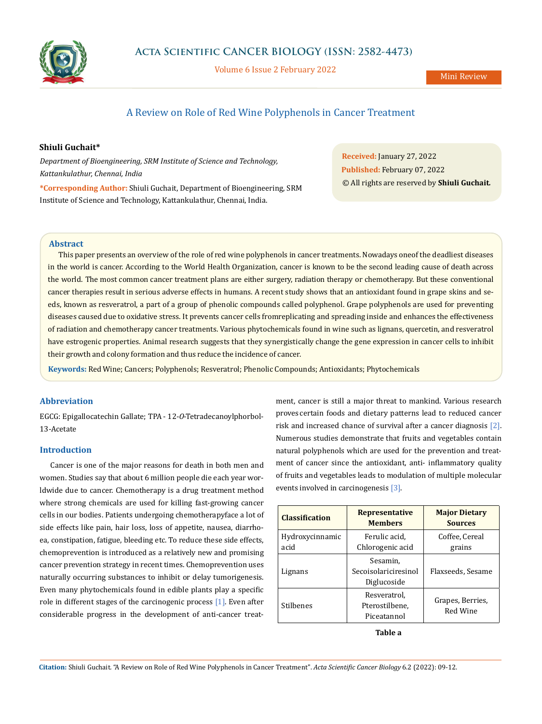

Volume 6 Issue 2 February 2022

# A Review on Role of Red Wine Polyphenols in Cancer Treatment

## **Shiuli Guchait\***

*Department of Bioengineering, SRM Institute of Science and Technology, Kattankulathur, Chennai, India*

**\*Corresponding Author:** Shiuli Guchait, Department of Bioengineering, SRM Institute of Science and Technology, Kattankulathur, Chennai, India.

**Received:** January 27, 2022 **Published:** February 07, 2022 © All rights are reserved by **Shiuli Guchait***.*

### **Abstract**

This paper presents an overview of the role of red wine polyphenols in cancer treatments. Nowadays one of the deadliest diseases in the world is cancer. According to the World Health Organization, cancer is known to be the second leading cause of death across the world. The most common cancer treatment plans are either surgery, radiation therapy or chemotherapy. But these conventional cancer therapies result in serious adverse effects in humans. A recent study shows that an antioxidant found in grape skins and seeds, known as resveratrol, a part of a group of phenolic compounds called polyphenol. Grape polyphenols are used for preventing diseases caused due to oxidative stress. It prevents cancer cells from replicating and spreading inside and enhances the effectiveness of radiation and chemotherapy cancer treatments. Various phytochemicals found in wine such as lignans, quercetin, and resveratrol have estrogenic properties. Animal research suggests that they synergistically change the gene expression in cancer cells to inhibit their growth and colony formation and thus reduce the incidence of cancer.

**Keywords:** Red Wine; Cancers; Polyphenols; Resveratrol; Phenolic Compounds; Antioxidants; Phytochemicals

## **Abbreviation**

EGCG: Epigallocatechin Gallate; TPA - 12-*O*-Tetradecanoylphorbol-13-Acetate

### **Introduction**

Cancer is one of the major reasons for death in both men and women. Studies say that about 6 million people die each year worldwide due to cancer. Chemotherapy is a drug treatment method where strong chemicals are used for killing fast-growing cancer cells in our bodies. Patients undergoing chemotherapy face a lot of side effects like pain, hair loss, loss of appetite, nausea, diarrhoea, constipation, fatigue, bleeding etc. To reduce these side effects, chemoprevention is introduced as a relatively new and promising cancer prevention strategy in recent times. Chemoprevention uses naturally occurring substances to inhibit or delay tumorigenesis. Even many phytochemicals found in edible plants play a specific role in different stages of the carcinogenic process [1]. Even after considerable progress in the development of anti-cancer treatment, cancer is still a major threat to mankind. Various research proves certain foods and dietary patterns lead to reduced cancer risk and increased chance of survival after a cancer diagnosis [2]. Numerous studies demonstrate that fruits and vegetables contain natural polyphenols which are used for the prevention and treatment of cancer since the antioxidant, anti- inflammatory quality of fruits and vegetables leads to modulation of multiple molecular events involved in carcinogenesis [3].

| <b>Classification</b>   | <b>Representative</b><br><b>Members</b>         | <b>Major Dietary</b><br><b>Sources</b> |
|-------------------------|-------------------------------------------------|----------------------------------------|
| Hydroxycinnamic<br>acid | Ferulic acid.<br>Chlorogenic acid               | Coffee, Cereal<br>grains               |
| Lignans                 | Sesamin,<br>Secoisolariciresinol<br>Diglucoside | Flaxseeds, Sesame                      |
| Stilbenes               | Resveratrol,<br>Pterostilbene,<br>Piceatannol   | Grapes, Berries,<br>Red Wine           |

**Table a**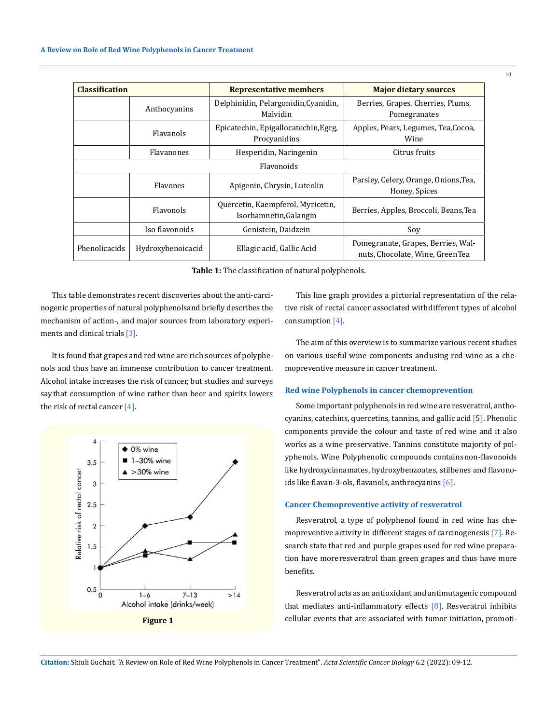| <b>Classification</b> |                   | <b>Representative members</b>                               | <b>Major dietary sources</b>                                          |  |
|-----------------------|-------------------|-------------------------------------------------------------|-----------------------------------------------------------------------|--|
|                       | Anthocyanins      | Delphinidin, Pelargonidin, Cyanidin,<br>Malvidin            | Berries, Grapes, Cherries, Plums,<br>Pomegranates                     |  |
|                       | Flavanols         | Epicatechin, Epigallocatechin, Egcg,<br>Procyanidins        | Apples, Pears, Legumes, Tea, Cocoa,<br>Wine                           |  |
|                       | Flavanones        | Hesperidin, Naringenin                                      | Citrus fruits                                                         |  |
| <b>Flavonoids</b>     |                   |                                                             |                                                                       |  |
|                       | Flavones          | Apigenin, Chrysin, Luteolin                                 | Parsley, Celery, Orange, Onions, Tea,<br>Honey, Spices                |  |
|                       | <b>Flavonols</b>  | Quercetin, Kaempferol, Myricetin,<br>Isorhamnetin, Galangin | Berries, Apples, Broccoli, Beans, Tea                                 |  |
|                       | Iso flavonoids    | Genistein, Daidzein                                         | Soy                                                                   |  |
| Phenolicacids         | Hydroxybenoicacid | Ellagic acid, Gallic Acid                                   | Pomegranate, Grapes, Berries, Wal-<br>nuts, Chocolate, Wine, GreenTea |  |

**Table 1:** The classification of natural polyphenols.

This table demonstrates recent discoveries about the anti-carcinogenic properties of natural polyphenols and briefly describes the mechanism of action-, and major sources from laboratory experiments and clinical trials [3].

It is found that grapes and red wine are rich sources of polyphenols and thus have an immense contribution to cancer treatment. Alcohol intake increases the risk of cancer, but studies and surveys say that consumption of wine rather than beer and spirits lowers the risk of rectal cancer  $[4]$ .



This line graph provides a pictorial representation of the relative risk of rectal cancer associated with different types of alcohol consumption [4].

The aim of this overview is to summarize various recent studies on various useful wine components and using red wine as a chemopreventive measure in cancer treatment.

#### **Red wine Polyphenols in cancer chemoprevention**

Some important polyphenols in red wine are resveratrol, anthocyanins, catechins, quercetins, tannins, and gallic acid [5]. Phenolic components provide the colour and taste of red wine and it also works as a wine preservative. Tannins constitute majority of polyphenols. Wine Polyphenolic compounds contains non-flavonoids like hydroxycinnamates, hydroxybenzoates, stilbenes and flavonoids like flavan-3-ols, flavanols, anthrocyanins [6].

### **Cancer Chemopreventive activity of resveratrol**

Resveratrol, a type of polyphenol found in red wine has chemopreventive activity in different stages of carcinogenesis [7]. Research state that red and purple grapes used for red wine preparation have more resveratrol than green grapes and thus have more benefits.

Resveratrol acts as an antioxidant and antimutagenic compound that mediates anti-inflammatory effects [8]. Resveratrol inhibits cellular events that are associated with tumor initiation, promoti-

**Citation:** Shiuli Guchait*.* "A Review on Role of Red Wine Polyphenols in Cancer Treatment". *Acta Scientific Cancer Biology* 6.2 (2022): 09-12.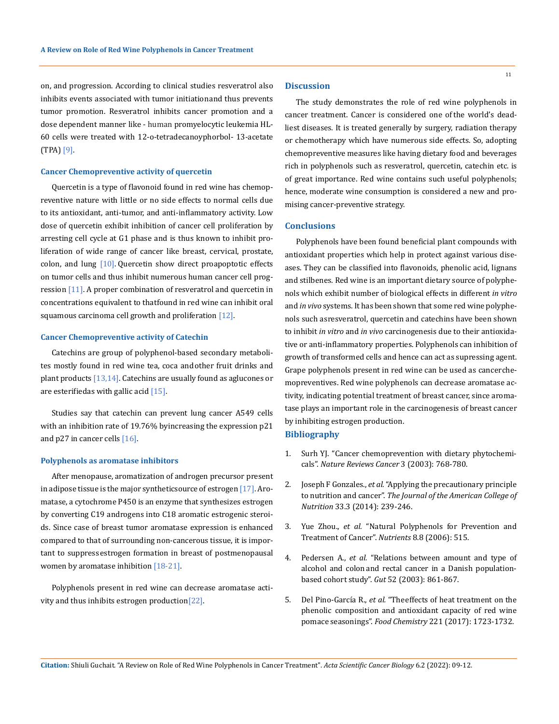on, and progression. According to clinical studies resveratrol also inhibits events associated with tumor initiation and thus prevents tumor promotion. Resveratrol inhibits cancer promotion and a dose dependent manner like - human promyelocytic leukemia HL-60 cells were treated with 12-o-tetradecanoyphorbol- 13-acetate (TPA) [9].

### **Cancer Chemopreventive activity of quercetin**

Quercetin is a type of flavonoid found in red wine has chemopreventive nature with little or no side effects to normal cells due to its antioxidant, anti-tumor, and anti-inflammatory activity. Low dose of quercetin exhibit inhibition of cancer cell proliferation by arresting cell cycle at G1 phase and is thus known to inhibit proliferation of wide range of cancer like breast, cervical, prostate, colon, and lung  $[10]$ . Quercetin show direct proapoptotic effects on tumor cells and thus inhibit numerous human cancer cell progression [11]. A proper combination of resveratrol and quercetin in concentrations equivalent to thatfound in red wine can inhibit oral squamous carcinoma cell growth and proliferation  $[12]$ .

#### **Cancer Chemopreventive activity of Catechin**

Catechins are group of polyphenol-based secondary metabolites mostly found in red wine tea, coca and other fruit drinks and plant products [13,14]. Catechins are usually found as aglucones or are esterifiedas with gallic acid [15].

Studies say that catechin can prevent lung cancer A549 cells with an inhibition rate of 19.76% byincreasing the expression p21 and  $p27$  in cancer cells  $[16]$ .

#### **Polyphenols as aromatase inhibitors**

After menopause, aromatization of androgen precursor present in adipose tissue is the major synthetic source of estrogen  $[17]$ . Aromatase, a cytochrome P450 is an enzyme that synthesizes estrogen by converting C19 androgens into C18 aromatic estrogenic steroids. Since case of breast tumor aromatase expression is enhanced compared to that of surrounding non-cancerous tissue, it is important to suppress estrogen formation in breast of postmenopausal women by aromatase inhibition [18-21].

Polyphenols present in red wine can decrease aromatase activity and thus inhibits estrogen production<sup>[22]</sup>.

## **Discussion**

The study demonstrates the role of red wine polyphenols in cancer treatment. Cancer is considered one of the world's deadliest diseases. It is treated generally by surgery, radiation therapy or chemotherapy which have numerous side effects. So, adopting chemopreventive measures like having dietary food and beverages rich in polyphenols such as resveratrol, quercetin, catechin etc. is of great importance. Red wine contains such useful polyphenols; hence, moderate wine consumption is considered a new and promising cancer-preventive strategy.

#### **Conclusions**

Polyphenols have been found beneficial plant compounds with antioxidant properties which help in protect against various diseases. They can be classified into flavonoids, phenolic acid, lignans and stilbenes. Red wine is an important dietary source of polyphenols which exhibit number of biological effects in different *in vitro* and *in vivo* systems. It has been shown that some red wine polyphenols such as resveratrol, quercetin and catechins have been shown to inhibit *in vitro* and *in vivo* carcinogenesis due to their antioxidative or anti-inflammatory properties. Polyphenols can inhibition of growth of transformed cells and hence can act as supressing agent. Grape polyphenols present in red wine can be used as cancer chemopreventives. Red wine polyphenols can decrease aromatase activity, indicating potential treatment of breast cancer, since aromatase plays an important role in the carcinogenesis of breast cancer by inhibiting estrogen production. **Bibliography**

- 1. [Surh YJ. "Cancer chemoprevention with dietary phytochemi-](https://pubmed.ncbi.nlm.nih.gov/14570043/)
- cals". *[Nature Reviews Cancer](https://pubmed.ncbi.nlm.nih.gov/14570043/)* 3 (2003): 768-780. 2. Joseph F Gonzales., *et al.* ["Applying the precautionary principle](https://pubmed.ncbi.nlm.nih.gov/24870117/)
- to nutrition and cancer". *[The Journal of the American College of](https://pubmed.ncbi.nlm.nih.gov/24870117/) Nutrition* [33.3 \(2014\): 239-246.](https://pubmed.ncbi.nlm.nih.gov/24870117/)
- 3. [Yue Zhou.](https://www.ncbi.nlm.nih.gov/pubmed/?term=Zhou%20Y%5BAuthor%5D&cauthor=true&cauthor_uid=27556486), *et al.* "Natural Polyphenols for Prevention and Treatment of Cancer". *[Nutrients](https://www.ncbi.nlm.nih.gov/pmc/articles/PMC4997428/)* 8.8 (2006): 515.
- 4. Pedersen A., *et al.* ["Relations between amount and type of](https://pubmed.ncbi.nlm.nih.gov/12740343/) alcohol and colon [and rectal cancer in a Danish population](https://pubmed.ncbi.nlm.nih.gov/12740343/)[based cohort study".](https://pubmed.ncbi.nlm.nih.gov/12740343/) *Gut* 52 (2003): 861-867.
- 5. [Del Pino-García R.,](https://www.sciencedirect.com/science/article/abs/pii/S0308814616317915) *et al.* "Theeffects of heat treatment on the phenolic [composition](https://www.sciencedirect.com/science/article/abs/pii/S0308814616317915) and antioxidant capacity of red wine pomace seasonings". *Food Chemistry* [221 \(2017\): 1723-1732.](https://www.sciencedirect.com/science/article/abs/pii/S0308814616317915)